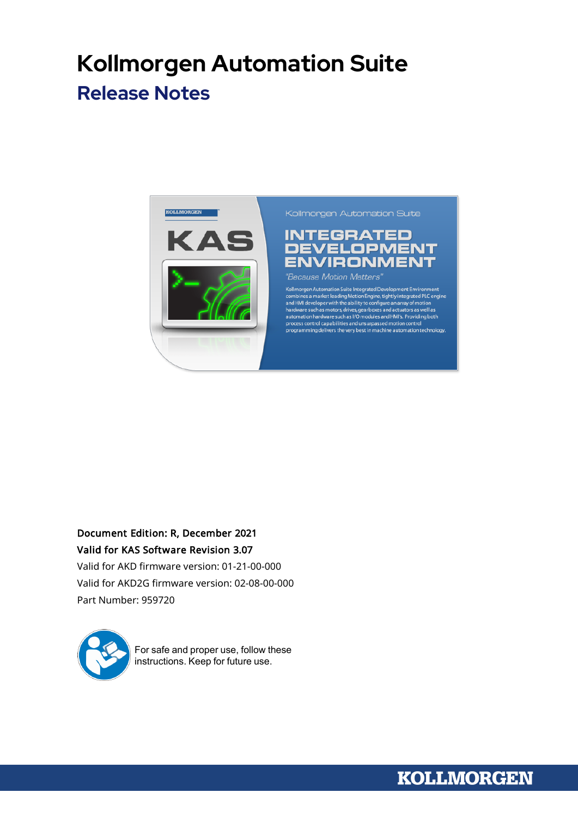# **Kollmorgen Automation Suite Release Notes**



Kollmorgen Automation Suite

## **INTEGRATED DEVELOPMENT ENVIRONMENT**

"Because Motion Matters"

Kollmorgen Automation Suite Integrated Development Environment<br>combines a market leading Motion Engine, tightly integrated PLC engine<br>and HMI developer with the ability to configure an array of motion<br>hardware such as moto arcocess control capabilities and unsurpassed motion control<br>process control capabilities and unsurpassed motion control<br>programming delivers the very best in machine automation technology.

## Document Edition: R, December 2021 Valid for KAS Software Revision 3.07

Valid for AKD firmware version: 01-21-00-000 Valid for AKD2G firmware version: 02-08-00-000 Part Number: 959720



For safe and proper use, follow these instructions. Keep for future use.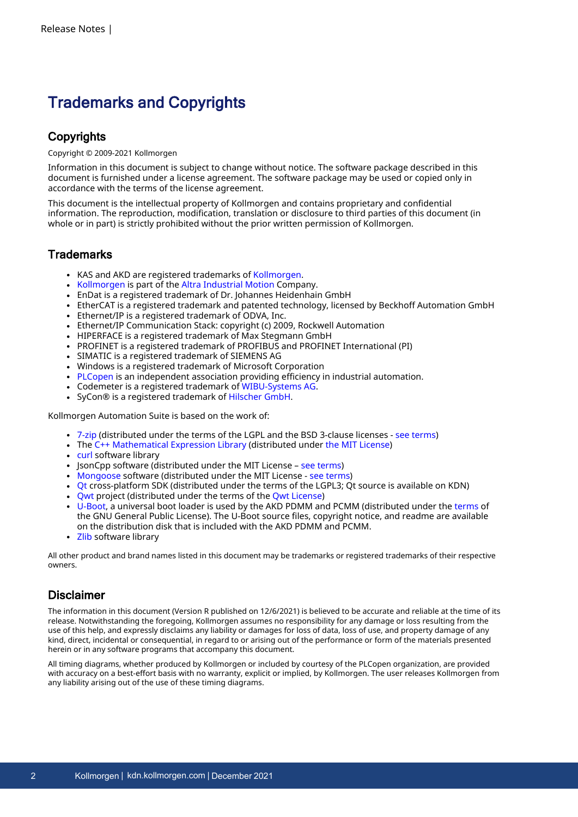## Trademarks and Copyrights

### **Copyrights**

#### Copyright © 2009-2021 Kollmorgen

Information in this document is subject to change without notice. The software package described in this document is furnished under a license agreement. The software package may be used or copied only in accordance with the terms of the license agreement.

This document is the intellectual property of Kollmorgen and contains proprietary and confidential information. The reproduction, modification, translation or disclosure to third parties of this document (in whole or in part) is strictly prohibited without the prior written permission of Kollmorgen.

### **Trademarks**

- KAS and AKD are registered trademarks of [Kollmorgen](http://www.kollmorgen.com/).
- [Kollmorgen](http://www.kollmorgen.com/) is part of the Altra [Industrial](https://www.altramotion.com/) Motion Company.
- EnDat is a registered trademark of Dr. Johannes Heidenhain GmbH
- EtherCAT is a registered trademark and patented technology, licensed by Beckhoff Automation GmbH
- <sup>l</sup> Ethernet/IP is a registered trademark of ODVA, Inc.
- <sup>l</sup> Ethernet/IP Communication Stack: copyright (c) 2009, Rockwell Automation
- HIPERFACE is a registered trademark of Max Stegmann GmbH
- PROFINET is a registered trademark of PROFIBUS and PROFINET International (PI)
- SIMATIC is a registered trademark of SIEMENS AG
- Windows is a registered trademark of Microsoft Corporation
- [PLCopen](http://www.plcopen.org/) is an independent association providing efficiency in industrial automation.
- Codemeter is a registered trademark of [WIBU-Systems](http://www.wibu.com/) AG.
- SyCon® is a registered trademark of [Hilscher](http://www.hilscher.com/) GmbH.

Kollmorgen Automation Suite is based on the work of:

- [7-zip](https://www.7-zip.org/) (distributed under the [terms](https://www.7-zip.org/license.txt) of the LGPL and the BSD 3-clause licenses see terms)
- The C++ [Mathematical](http://www.partow.net/programming/exprtk/index.html) Expression Library (distributed under the MIT [License\)](https://opensource.org/licenses/MIT)
- [curl](http://curl.haxx.se/docs/copyright.html) software library
- IsonCpp software (distributed under the MIT License see [terms\)](http://jsoncpp.sourceforge.net/LICENSE)
- [Mongoose](http://code.google.com/p/mongoose/) software (distributed under the MIT License see [terms\)](MongooseLicense.txt)
- [Qt](https://www.qt.io/) cross-platform SDK (distributed under the terms of the LGPL3; Qt source is available on KDN)
- Owt project (distributed under the terms of the Owt [License\)](https://qwt.sourceforge.io/qwtlicense.html)
- [U-Boot,](http://www.denx.de/wiki/U-Boot) a universal boot loader is used by the AKD PDMM and PCMM (distributed under the [terms](http://www.gnu.org/licenses/gpl-2.0.html) of the GNU General Public License). The U-Boot source files, copyright notice, and readme are available on the distribution disk that is included with the AKD PDMM and PCMM.
- [Zlib](http://www.zlib.net/) software library

All other product and brand names listed in this document may be trademarks or registered trademarks of their respective owners.

### Disclaimer

The information in this document (Version R published on 12/6/2021) is believed to be accurate and reliable at the time of its release. Notwithstanding the foregoing, Kollmorgen assumes no responsibility for any damage or loss resulting from the use of this help, and expressly disclaims any liability or damages for loss of data, loss of use, and property damage of any kind, direct, incidental or consequential, in regard to or arising out of the performance or form of the materials presented herein or in any software programs that accompany this document.

All timing diagrams, whether produced by Kollmorgen or included by courtesy of the PLCopen organization, are provided with accuracy on a best-effort basis with no warranty, explicit or implied, by Kollmorgen. The user releases Kollmorgen from any liability arising out of the use of these timing diagrams.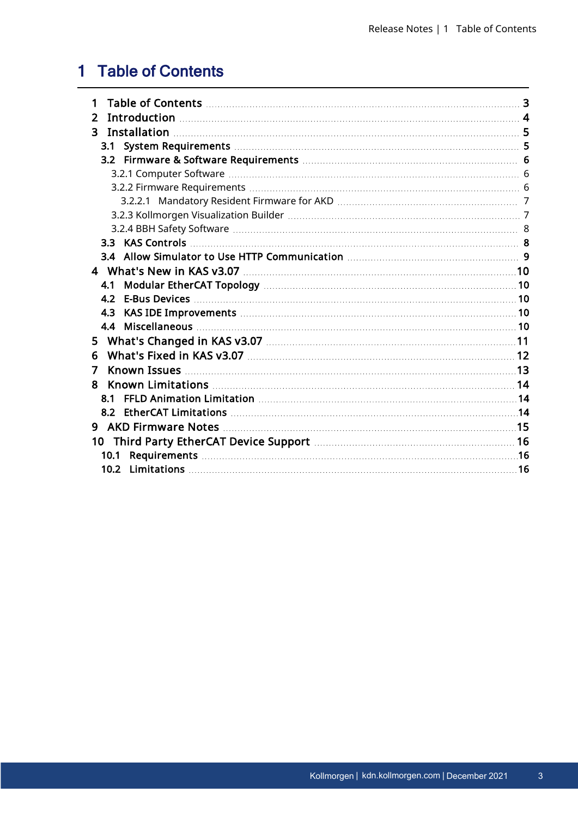## <span id="page-2-0"></span>1 Table of Contents

| 2    |  |
|------|--|
| 3.   |  |
|      |  |
|      |  |
|      |  |
|      |  |
|      |  |
|      |  |
|      |  |
|      |  |
|      |  |
|      |  |
| 4.1  |  |
| 4.2  |  |
| 4.3  |  |
|      |  |
| 5.   |  |
| 6    |  |
| 7    |  |
| 8    |  |
| 8.1  |  |
|      |  |
| 9    |  |
|      |  |
| 10.1 |  |
|      |  |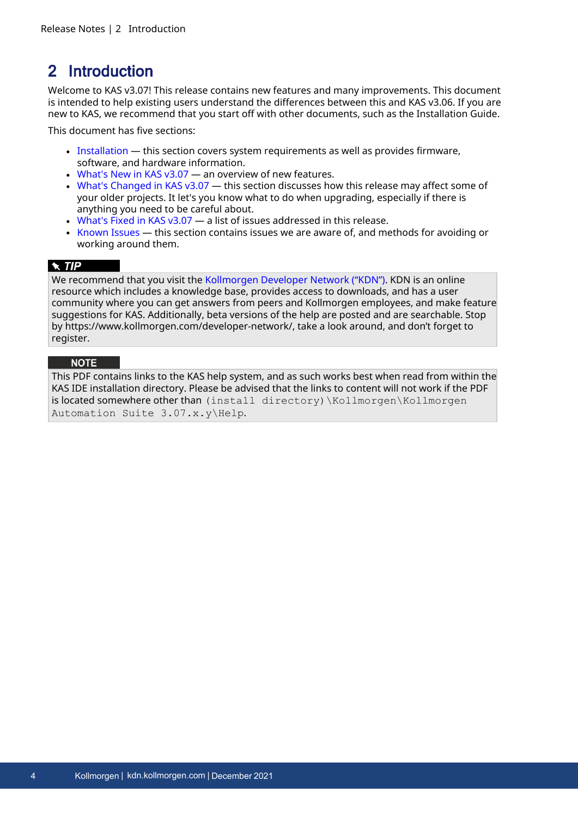## <span id="page-3-0"></span>2 Introduction

Welcome to KAS v3.07! This release contains new features and many improvements. This document is intended to help existing users understand the differences between this and KAS v3.06. If you are new to KAS, we recommend that you start off with other documents, such as the Installation Guide.

This document has five sections:

- [Installation](#page-4-0) this section covers system requirements as well as provides firmware, software, and hardware information.
- What's New in [KAS v3.07](#page-9-0)  $-$  an overview of new features.
- What's Changed in [KAS v3.07](#page-10-0) this section discusses how this release may affect some of your older projects. It let's you know what to do when upgrading, especially if there is anything you need to be careful about.
- [What's](#page-11-0) Fixed in KAS v3.07  $-$  a list of issues addressed in this release.
- $\bullet$  [Known](#page-12-0) Issues this section contains issues we are aware of, and methods for avoiding or working around them.

#### $\star$  TIP

We recommend that you visit the [Kollmorgen](https://www.kollmorgen.com/developer-network/) Developer Network ("KDN"). KDN is an online resource which includes a knowledge base, provides access to downloads, and has a user community where you can get answers from peers and Kollmorgen employees, and make feature suggestions for KAS. Additionally, beta versions of the help are posted and are searchable. Stop by https://www.kollmorgen.com/developer-network/, take a look around, and don't forget to register.

#### **NOTE**

This PDF contains links to the KAS help system, and as such works best when read from within the KAS IDE installation directory. Please be advised that the links to content will not work if the PDF is located somewhere other than (install directory)\Kollmorgen\Kollmorgen Automation Suite 3.07.x.y\Help.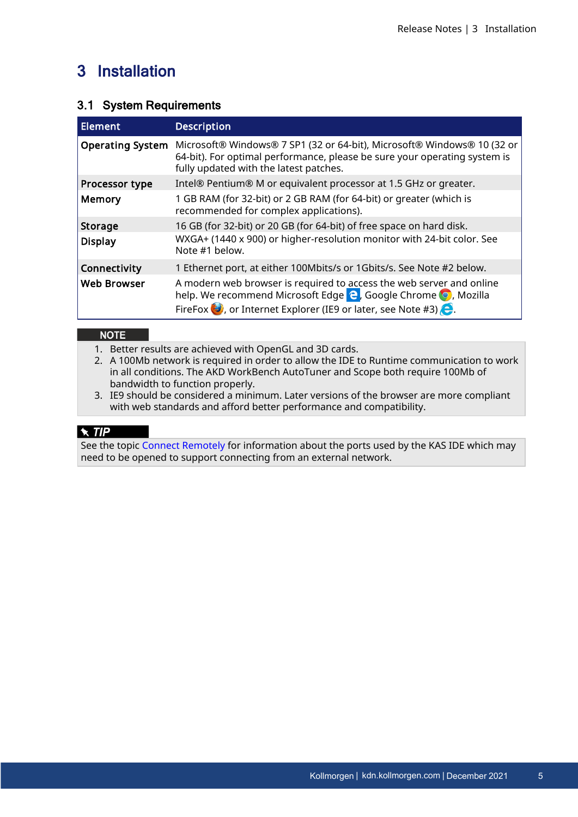## <span id="page-4-0"></span>3 Installation

### <span id="page-4-1"></span>3.1 System Requirements

| Element                 | <b>Description</b>                                                                                                                                                                                                                          |
|-------------------------|---------------------------------------------------------------------------------------------------------------------------------------------------------------------------------------------------------------------------------------------|
| <b>Operating System</b> | Microsoft® Windows® 7 SP1 (32 or 64-bit), Microsoft® Windows® 10 (32 or<br>64-bit). For optimal performance, please be sure your operating system is<br>fully updated with the latest patches.                                              |
| Processor type          | Intel® Pentium® M or equivalent processor at 1.5 GHz or greater.                                                                                                                                                                            |
| <b>Memory</b>           | 1 GB RAM (for 32-bit) or 2 GB RAM (for 64-bit) or greater (which is<br>recommended for complex applications).                                                                                                                               |
| Storage                 | 16 GB (for 32-bit) or 20 GB (for 64-bit) of free space on hard disk.                                                                                                                                                                        |
| <b>Display</b>          | WXGA+ (1440 x 900) or higher-resolution monitor with 24-bit color. See<br>Note #1 below.                                                                                                                                                    |
| <b>Connectivity</b>     | 1 Ethernet port, at either 100Mbits/s or 1Gbits/s. See Note #2 below.                                                                                                                                                                       |
| <b>Web Browser</b>      | A modern web browser is required to access the web server and online<br>help. We recommend Microsoft Edge <b>e</b> , Google Chrome <b>o</b> , Mozilla<br>FireFox $\bigcirc$ , or Internet Explorer (IE9 or later, see Note #3) $\bigcirc$ . |

#### **NOTE**

- 1. Better results are achieved with OpenGL and 3D cards.
- 2. A 100Mb network is required in order to allow the IDE to Runtime communication to work in all conditions. The AKD WorkBench AutoTuner and Scope both require 100Mb of bandwidth to function properly.
- 3. IE9 should be considered a minimum. Later versions of the browser are more compliant with web standards and afford better performance and compatibility.

### $\star$  TIP

See the topic Connect [Remotely](http://webhelp.kollmorgen.com/kas3.06/Content/13.Troubleshoot/Connect_Remotely.htm) for information about the ports used by the KAS IDE which may need to be opened to support connecting from an external network.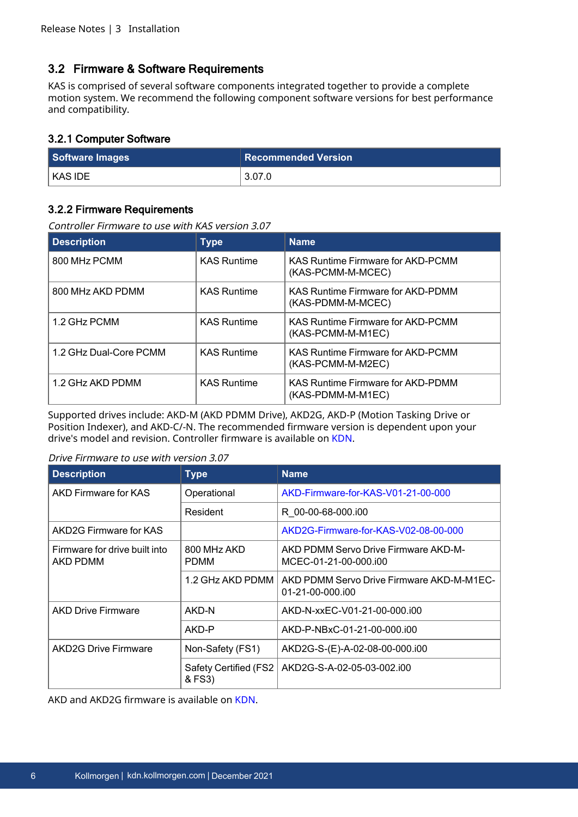### <span id="page-5-0"></span>3.2 Firmware & Software Requirements

KAS is comprised of several software components integrated together to provide a complete motion system. We recommend the following component software versions for best performance and compatibility.

#### <span id="page-5-1"></span>3.2.1 Computer Software

| Software Images | <b>Recommended Version</b> |
|-----------------|----------------------------|
| KAS IDE         | 3.07.0                     |

#### <span id="page-5-2"></span>3.2.2 Firmware Requirements

Controller Firmware to use with KAS version 3.07

| <b>Description</b>     | <b>Type</b>        | <b>Name</b>                                                   |
|------------------------|--------------------|---------------------------------------------------------------|
| 800 MHz PCMM           | <b>KAS Runtime</b> | KAS Runtime Firmware for AKD-PCMM<br>(KAS-PCMM-M-MCEC)        |
| 800 MHz AKD PDMM       | <b>KAS Runtime</b> | <b>KAS Runtime Firmware for AKD-PDMM</b><br>(KAS-PDMM-M-MCEC) |
| 1.2 GHz PCMM           | <b>KAS Runtime</b> | <b>KAS Runtime Firmware for AKD-PCMM</b><br>(KAS-PCMM-M-M1EC) |
| 1.2 GHz Dual-Core PCMM | <b>KAS Runtime</b> | <b>KAS Runtime Firmware for AKD-PCMM</b><br>(KAS-PCMM-M-M2EC) |
| 1.2 GHz AKD PDMM       | <b>KAS Runtime</b> | <b>KAS Runtime Firmware for AKD-PDMM</b><br>(KAS-PDMM-M-M1EC) |

Supported drives include: AKD-M (AKD PDMM Drive), AKD2G, AKD-P (Motion Tasking Drive or Position Indexer), and AKD-C/-N. The recommended firmware version is dependent upon your drive's model and revision. Controller firmware is available on [KDN.](https://kdn.kollmorgen.com/en-us/downloads?field_product_family_tid_selective%5B%5D=3016&field_category_tid_selective%5B%5D=21&title=)

#### Drive Firmware to use with version 3.07

| <b>Description</b>                               | <b>Type</b>                     | <b>Name</b>                                                   |  |
|--------------------------------------------------|---------------------------------|---------------------------------------------------------------|--|
| AKD Firmware for KAS                             | Operational                     | AKD-Firmware-for-KAS-V01-21-00-000                            |  |
|                                                  | Resident                        | R 00-00-68-000.i00                                            |  |
| AKD2G Firmware for KAS                           |                                 | AKD2G-Firmware-for-KAS-V02-08-00-000                          |  |
| Firmware for drive built into<br><b>AKD PDMM</b> | 800 MHz AKD<br><b>PDMM</b>      | AKD PDMM Servo Drive Firmware AKD-M-<br>MCEC-01-21-00-000.i00 |  |
|                                                  | 1.2 GHz AKD PDMM                | AKD PDMM Servo Drive Firmware AKD-M-M1EC-<br>01-21-00-000.i00 |  |
| <b>AKD Drive Firmware</b>                        | AKD-N                           | AKD-N-xxEC-V01-21-00-000.i00                                  |  |
|                                                  | AKD-P                           | AKD-P-NBxC-01-21-00-000.i00                                   |  |
| <b>AKD2G Drive Firmware</b>                      | Non-Safety (FS1)                | AKD2G-S-(E)-A-02-08-00-000.i00                                |  |
|                                                  | Safety Certified (FS2<br>& FS3) | AKD2G-S-A-02-05-03-002.i00                                    |  |

AKD and AKD2G firmware is available on [KDN](https://www.kollmorgen.com/en-us/developer-network/downloads/?field_product_family_tid_selective%5B%5D=3005&field_product_family_tid_selective%5B%5D=3638&field_category_tid_selective%5B%5D=21&title=).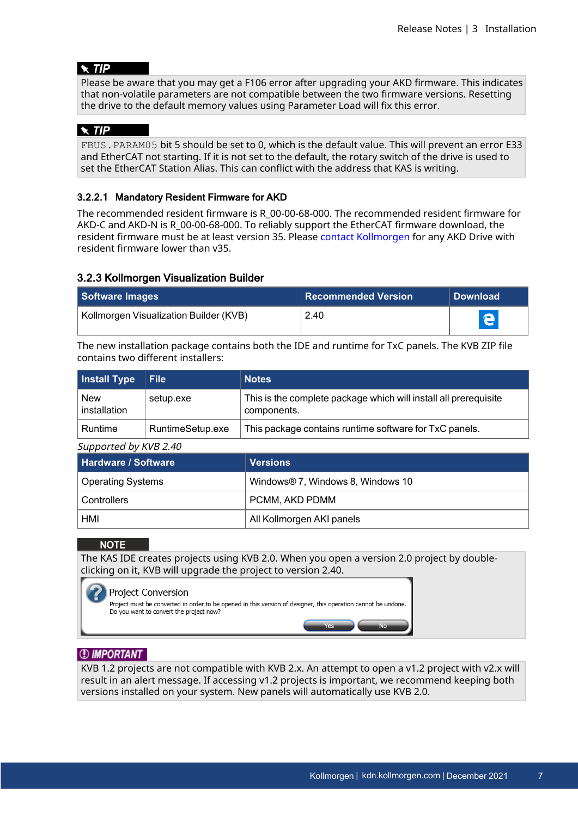#### $\star$  TIP

Please be aware that you may get a F106 error after upgrading your AKD firmware. This indicates that non-volatile parameters are not compatible between the two firmware versions. Resetting the drive to the default memory values using Parameter Load will fix this error.

#### $\star$  TIP

FBUS.PARAM05 bit 5 should be set to 0, which is the default value. This will prevent an error E33 and EtherCAT not starting. If it is not set to the default, the rotary switch of the drive is used to set the EtherCAT Station Alias. This can conflict with the address that KAS is writing.

#### <span id="page-6-0"></span>3.2.2.1 Mandatory Resident Firmware for AKD

The recommended resident firmware is R\_00-00-68-000. The recommended resident firmware for AKD-C and AKD-N is R\_00-00-68-000. To reliably support the EtherCAT firmware download, the resident firmware must be at least version 35. Please contact [Kollmorgen](#page-16-0) for any AKD Drive with resident firmware lower than v35.

#### <span id="page-6-1"></span>3.2.3 Kollmorgen Visualization Builder

| Software Images                        | <b>Recommended Version</b> | <b>Download</b> |
|----------------------------------------|----------------------------|-----------------|
| Kollmorgen Visualization Builder (KVB) | 2.40                       | e               |

The new installation package contains both the IDE and runtime for TxC panels. The KVB ZIP file contains two different installers:

| Install Type               | $\vert$ File $\vert$ | <b>Notes</b>                                                                    |
|----------------------------|----------------------|---------------------------------------------------------------------------------|
| <b>New</b><br>installation | setup.exe            | This is the complete package which will install all prerequisite<br>components. |
| Runtime                    | RuntimeSetup.exe     | This package contains runtime software for TxC panels.                          |

Supported by KVB 2.40

| Hardware / Software | <b>Versions</b>                   |
|---------------------|-----------------------------------|
| Operating Systems   | Windows® 7, Windows 8, Windows 10 |
| Controllers         | PCMM, AKD PDMM                    |
| HMI                 | All Kollmorgen AKI panels         |

#### **NOTE**

The KAS IDE creates projects using KVB 2.0. When you open a version 2.0 project by doubleclicking on it, KVB will upgrade the project to version 2.40.

#### **Project Conversion**

Project must be converted in order to be opened in this version of designer, this operation cannot be undone. Do you want to convert the project now?

### *IMPORTANT*

KVB 1.2 projects are not compatible with KVB 2.x. An attempt to open a v1.2 project with v2.x will result in an alert message. If accessing v1.2 projects is important, we recommend keeping both versions installed on your system. New panels will automatically use KVB 2.0.

Yes: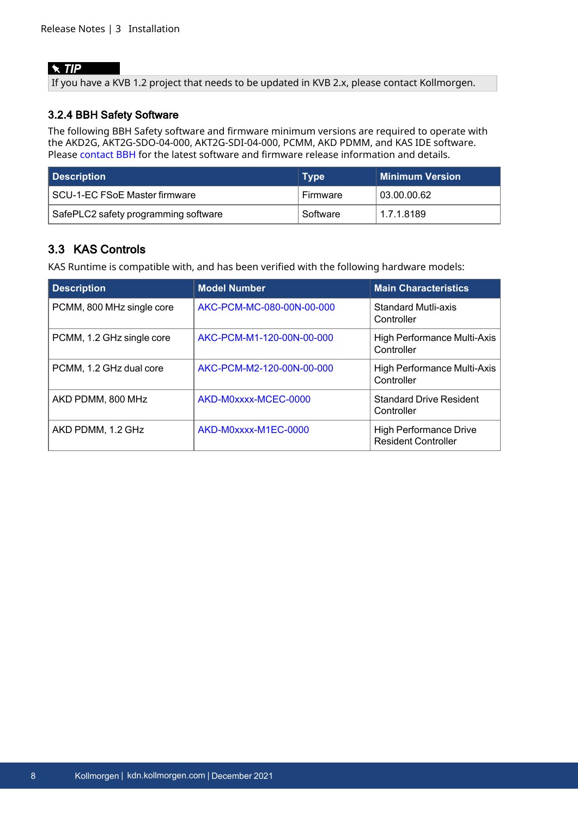#### $\star$  TIP

If you have a KVB 1.2 project that needs to be updated in KVB 2.x, please contact Kollmorgen.

#### <span id="page-7-0"></span>3.2.4 BBH Safety Software

The following BBH Safety software and firmware minimum versions are required to operate with the AKD2G, AKT2G-SDO-04-000, AKT2G-SDI-04-000, PCMM, AKD PDMM, and KAS IDE software. Please [contact](http://www.bbh-products.de/home) BBH for the latest software and firmware release information and details.

| Description                          | <b>Type</b> | ∣ Minimum Version⊥ |
|--------------------------------------|-------------|--------------------|
| SCU-1-EC FSoE Master firmware        | Firmware    | 03.00.00.62        |
| SafePLC2 safety programming software | Software    | 1.7.1.8189         |

## <span id="page-7-1"></span>3.3 KAS Controls

KAS Runtime is compatible with, and has been verified with the following hardware models:

| <b>Description</b>        | <b>Model Number</b>       | <b>Main Characteristics</b>                                 |
|---------------------------|---------------------------|-------------------------------------------------------------|
| PCMM, 800 MHz single core | AKC-PCM-MC-080-00N-00-000 | <b>Standard Mutli-axis</b><br>Controller                    |
| PCMM, 1.2 GHz single core | AKC-PCM-M1-120-00N-00-000 | High Performance Multi-Axis<br>Controller                   |
| PCMM, 1.2 GHz dual core   | AKC-PCM-M2-120-00N-00-000 | High Performance Multi-Axis<br>Controller                   |
| AKD PDMM, 800 MHz         | AKD-M0xxxx-MCEC-0000      | <b>Standard Drive Resident</b><br>Controller                |
| AKD PDMM, 1.2 GHz         | AKD-M0xxxx-M1EC-0000      | <b>High Performance Drive</b><br><b>Resident Controller</b> |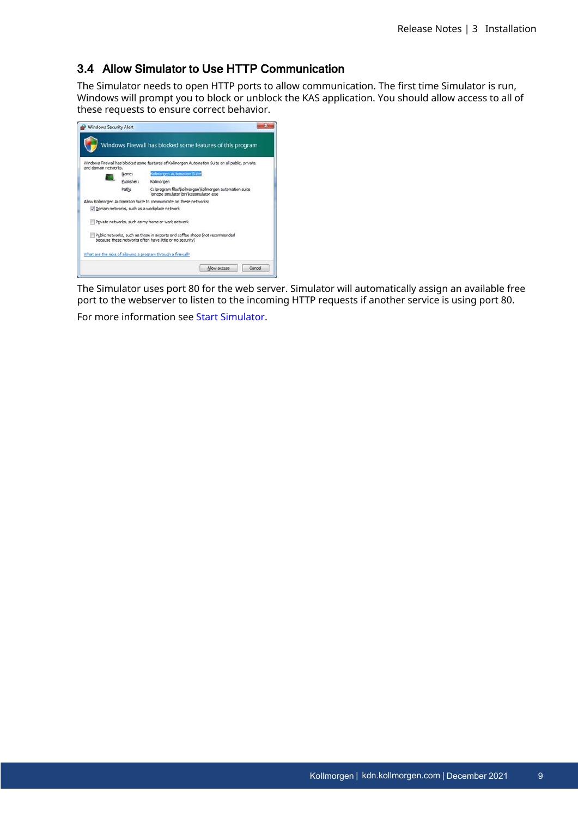### <span id="page-8-0"></span>3.4 Allow Simulator to Use HTTP Communication

The Simulator needs to open HTTP ports to allow communication. The first time Simulator is run, Windows will prompt you to block or unblock the KAS application. You should allow access to all of these requests to ensure correct behavior.

| and domain networks. |            | Windows Firewall has blocked some features of Kollmorgen Automation Suite on all public, private                                          |
|----------------------|------------|-------------------------------------------------------------------------------------------------------------------------------------------|
|                      | Name:      | Kolmorgen Automation Suite                                                                                                                |
|                      | Publisher: | Kollmorgen                                                                                                                                |
|                      | Path:      | C: lorogram files/kollmorgen/kollmorgen automation suite<br>Isinope simulator Ibin Vassimulator.exe                                       |
|                      |            | Allow Kollmorgen Automation Suite to communicate on these networks:                                                                       |
|                      |            | Domain networks, such as a workplace network                                                                                              |
|                      |            | Private networks, such as my home or work network                                                                                         |
|                      |            | Public networks, such as those in airports and coffee shops (not recommended<br>because these networks often have little or no security). |

The Simulator uses port 80 for the web server. Simulator will automatically assign an available free port to the webserver to listen to the incoming HTTP requests if another service is using port 80.

For more information see Start [Simulator.](http://webhelp.kollmorgen.com/kas3.06/Content/5.UsingSim/Start Sim.htm)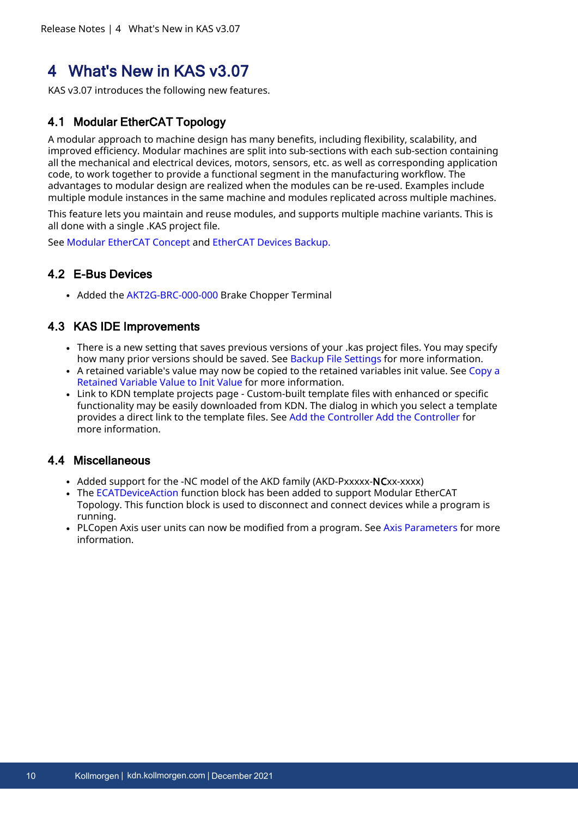## <span id="page-9-0"></span>4 What's New in KAS v3.07

KAS v3.07 introduces the following new features.

## <span id="page-9-1"></span>4.1 Modular EtherCAT Topology

A modular approach to machine design has many benefits, including flexibility, scalability, and improved efficiency. Modular machines are split into sub-sections with each sub-section containing all the mechanical and electrical devices, motors, sensors, etc. as well as corresponding application code, to work together to provide a functional segment in the manufacturing workflow. The advantages to modular design are realized when the modules can be re-used. Examples include multiple module instances in the same machine and modules replicated across multiple machines.

This feature lets you maintain and reuse modules, and supports multiple machine variants. This is all done with a single .KAS project file.

See Modular [EtherCAT](https://webhelp.kollmorgen.com/kas3.07/Content/8.AdvancedTopics/Modular_ECAT_Concept.htm) Concept and [EtherCAT](https://webhelp.kollmorgen.com/kas3.07/Content/6.UsingAKDPDMM/AKD_Backup.htm) Devices Backup[.](https://webhelp.kollmorgen.com/kas3.07/Content/6.UsingAKDPDMM/AKD_Backup.htm)

## <span id="page-9-2"></span>4.2 E-Bus Devices

• Added the [AKT2G-BRC-000-000](https://webhelp.kollmorgen.com/kas3.07/Content/AKT2G/AKT2G-BRC-000-000.htm) Brake Chopper Terminal

## <span id="page-9-3"></span>4.3 KAS IDE Improvements

- There is a new setting that saves previous versions of your .kas project files. You may specify how many prior versions should be saved. See Backup File [Settings](https://webhelp.kollmorgen.com/kas3.07/Content/9.DescKASGUI/Menu_Tools.htm#kanchor116) for more information.
- A retained variable's value may now be copied to the retained variables init value. See [Copy](https://webhelp.kollmorgen.com/kas3.07/Content/9.DescKASGUI/Variables_Retains.htm#Copy) a [Retained](https://webhelp.kollmorgen.com/kas3.07/Content/9.DescKASGUI/Variables_Retains.htm#Copy) Variable Value to Init Value for more information.
- Link to KDN template projects page Custom-built template files with enhanced or specific functionality may be easily downloaded from KDN. The dialog in which you select a template provides a direct link to the template files. See Add the [Controller](../../../../../Content/4.UsingKASIDE/Add Controller.htm) Add the [Controller](https://webhelp.kollmorgen.com/kas3.07/Content/4.UsingKASIDE/Add Controller.htm) for more information.

### <span id="page-9-4"></span>4.4 Miscellaneous

- Added support for the -NC model of the AKD family (AKD-Pxxxxx-NCxx-xxxx)
- The [ECATDeviceAction](https://webhelp.kollmorgen.com/kas3.07/Content/11.TechRefs/ECATDeviceAction.htm) function block has been added to support Modular EtherCAT Topology. This function block is used to disconnect and connect devices while a program is running.
- PLCopen Axis user units can now be modified from a program. See Axis [Parameters](https://webhelp.kollmorgen.com/kas3.07/Content/3.UnderstandKAS/PLCOpenFB_AxisParams.htm) for more information.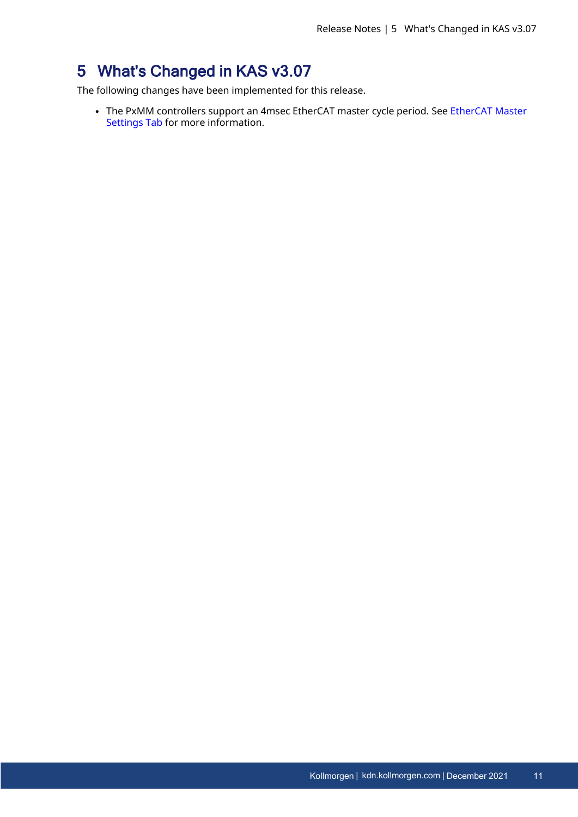## <span id="page-10-0"></span>5 What's Changed in KAS v3.07

The following changes have been implemented for this release.

• The PxMM controllers support an 4msec [EtherCAT](https://webhelp.kollmorgen.com/kas3.07/Content/4.UsingKASIDE/ECAT_Master_tab.htm) master cycle period. See EtherCAT Master [Settings](https://webhelp.kollmorgen.com/kas3.07/Content/4.UsingKASIDE/ECAT_Master_tab.htm) Tab for more information.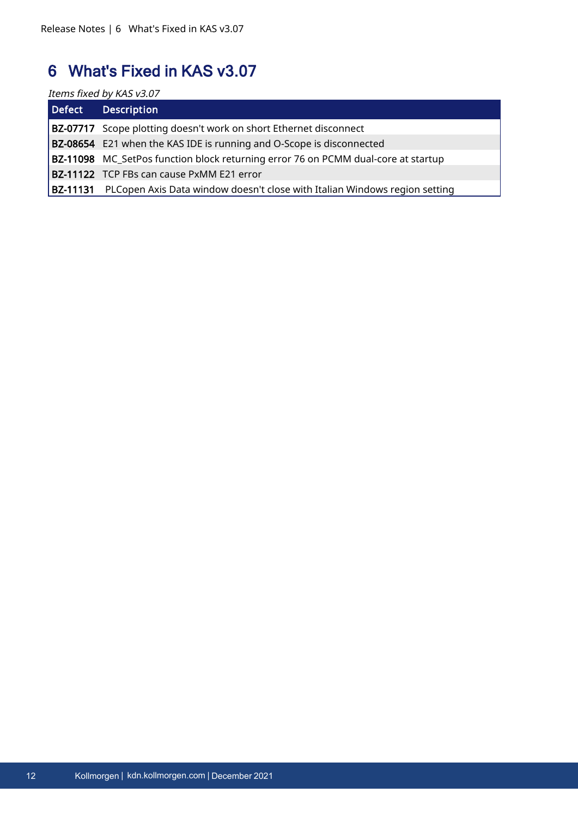## <span id="page-11-0"></span>6 What's Fixed in KAS v3.07

Items fixed by KAS v3.07

| Defect / | <b>Description</b>                                                                         |
|----------|--------------------------------------------------------------------------------------------|
|          | <b>BZ-07717</b> Scope plotting doesn't work on short Ethernet disconnect                   |
|          | <b>BZ-08654</b> E21 when the KAS IDE is running and O-Scope is disconnected                |
|          | BZ-11098 MC_SetPos function block returning error 76 on PCMM dual-core at startup          |
|          | <b>BZ-11122</b> TCP FBs can cause PxMM E21 error                                           |
|          | <b>BZ-11131</b> PLCopen Axis Data window doesn't close with Italian Windows region setting |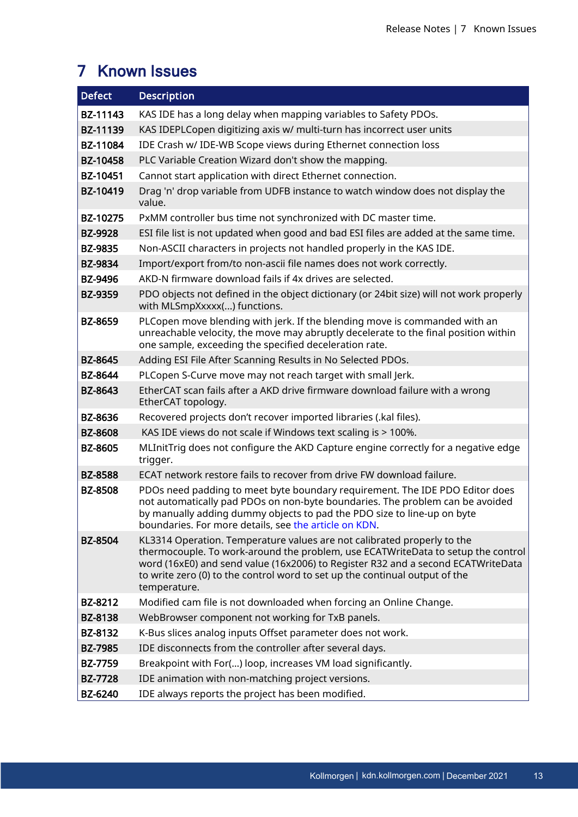## <span id="page-12-0"></span>7 Known Issues

| <b>Defect</b>  | <b>Description</b>                                                                                                                                                                                                                                                                                                                             |
|----------------|------------------------------------------------------------------------------------------------------------------------------------------------------------------------------------------------------------------------------------------------------------------------------------------------------------------------------------------------|
| BZ-11143       | KAS IDE has a long delay when mapping variables to Safety PDOs.                                                                                                                                                                                                                                                                                |
| BZ-11139       | KAS IDEPLCopen digitizing axis w/ multi-turn has incorrect user units                                                                                                                                                                                                                                                                          |
| BZ-11084       | IDE Crash w/ IDE-WB Scope views during Ethernet connection loss                                                                                                                                                                                                                                                                                |
| BZ-10458       | PLC Variable Creation Wizard don't show the mapping.                                                                                                                                                                                                                                                                                           |
| BZ-10451       | Cannot start application with direct Ethernet connection.                                                                                                                                                                                                                                                                                      |
| BZ-10419       | Drag 'n' drop variable from UDFB instance to watch window does not display the<br>value.                                                                                                                                                                                                                                                       |
| BZ-10275       | PxMM controller bus time not synchronized with DC master time.                                                                                                                                                                                                                                                                                 |
| <b>BZ-9928</b> | ESI file list is not updated when good and bad ESI files are added at the same time.                                                                                                                                                                                                                                                           |
| <b>BZ-9835</b> | Non-ASCII characters in projects not handled properly in the KAS IDE.                                                                                                                                                                                                                                                                          |
| <b>BZ-9834</b> | Import/export from/to non-ascii file names does not work correctly.                                                                                                                                                                                                                                                                            |
| <b>BZ-9496</b> | AKD-N firmware download fails if 4x drives are selected.                                                                                                                                                                                                                                                                                       |
| <b>BZ-9359</b> | PDO objects not defined in the object dictionary (or 24bit size) will not work properly<br>with MLSmpXxxxx() functions.                                                                                                                                                                                                                        |
| <b>BZ-8659</b> | PLCopen move blending with jerk. If the blending move is commanded with an<br>unreachable velocity, the move may abruptly decelerate to the final position within<br>one sample, exceeding the specified deceleration rate.                                                                                                                    |
| <b>BZ-8645</b> | Adding ESI File After Scanning Results in No Selected PDOs.                                                                                                                                                                                                                                                                                    |
| <b>BZ-8644</b> | PLCopen S-Curve move may not reach target with small Jerk.                                                                                                                                                                                                                                                                                     |
| <b>BZ-8643</b> | EtherCAT scan fails after a AKD drive firmware download failure with a wrong<br>EtherCAT topology.                                                                                                                                                                                                                                             |
| <b>BZ-8636</b> | Recovered projects don't recover imported libraries (.kal files).                                                                                                                                                                                                                                                                              |
| <b>BZ-8608</b> | KAS IDE views do not scale if Windows text scaling is > 100%.                                                                                                                                                                                                                                                                                  |
| <b>BZ-8605</b> | MLInitTrig does not configure the AKD Capture engine correctly for a negative edge<br>trigger.                                                                                                                                                                                                                                                 |
| <b>BZ-8588</b> | ECAT network restore fails to recover from drive FW download failure.                                                                                                                                                                                                                                                                          |
| <b>BZ-8508</b> | PDOs need padding to meet byte boundary requirement. The IDE PDO Editor does<br>not automatically pad PDOs on non-byte boundaries. The problem can be avoided<br>by manually adding dummy objects to pad the PDO size to line-up on byte<br>boundaries. For more details, see the article on KDN.                                              |
| <b>BZ-8504</b> | KL3314 Operation. Temperature values are not calibrated properly to the<br>thermocouple. To work-around the problem, use ECATWriteData to setup the control<br>word (16xE0) and send value (16x2006) to Register R32 and a second ECATWriteData<br>to write zero (0) to the control word to set up the continual output of the<br>temperature. |
| BZ-8212        | Modified cam file is not downloaded when forcing an Online Change.                                                                                                                                                                                                                                                                             |
| <b>BZ-8138</b> | WebBrowser component not working for TxB panels.                                                                                                                                                                                                                                                                                               |
| BZ-8132        | K-Bus slices analog inputs Offset parameter does not work.                                                                                                                                                                                                                                                                                     |
| <b>BZ-7985</b> | IDE disconnects from the controller after several days.                                                                                                                                                                                                                                                                                        |
| <b>BZ-7759</b> | Breakpoint with For() loop, increases VM load significantly.                                                                                                                                                                                                                                                                                   |
| <b>BZ-7728</b> | IDE animation with non-matching project versions.                                                                                                                                                                                                                                                                                              |
| <b>BZ-6240</b> | IDE always reports the project has been modified.                                                                                                                                                                                                                                                                                              |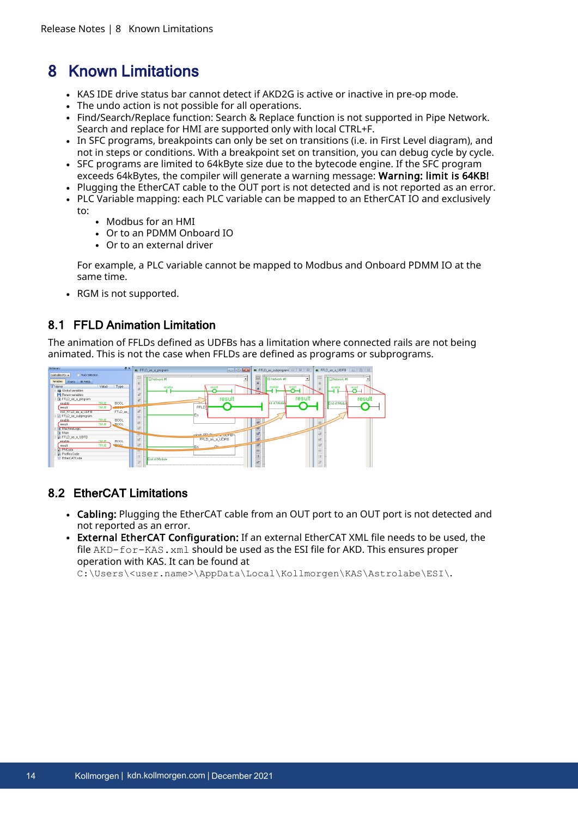## <span id="page-13-0"></span>8 Known Limitations

- KAS IDE drive status bar cannot detect if AKD2G is active or inactive in pre-op mode.
- The undo action is not possible for all operations.
- Find/Search/Replace function: Search & Replace function is not supported in Pipe Network. Search and replace for HMI are supported only with local CTRL+F.
- In SFC programs, breakpoints can only be set on transitions (i.e. in First Level diagram), and not in steps or conditions. With a breakpoint set on transition, you can debug cycle by cycle.
- SFC programs are limited to 64kByte size due to the bytecode engine. If the SFC program exceeds 64kBytes, the compiler will generate a warning message: Warning: limit is 64KB!
- Plugging the EtherCAT cable to the OUT port is not detected and is not reported as an error.
- PLC Variable mapping: each PLC variable can be mapped to an EtherCAT IO and exclusively
	- $t^{\circ}$ 
		- <sup>l</sup> Modbus for an HMI
		- <sup>l</sup> Or to an PDMM Onboard IO
		- $\bullet$  Or to an external driver

For example, a PLC variable cannot be mapped to Modbus and Onboard PDMM IO at the same time.

• RGM is not supported.

## <span id="page-13-1"></span>8.1 FFLD Animation Limitation

The animation of FFLDs defined as UDFBs has a limitation where connected rails are not being animated. This is not the case when FFLDs are defined as programs or subprograms.



## <span id="page-13-2"></span>8.2 EtherCAT Limitations

- Cabling: Plugging the EtherCAT cable from an OUT port to an OUT port is not detected and not reported as an error.
- External EtherCAT Configuration: If an external EtherCAT XML file needs to be used, the file AKD-for-KAS. xml should be used as the ESI file for AKD. This ensures proper operation with KAS. It can be found at

C:\Users\<user.name>\AppData\Local\Kollmorgen\KAS\Astrolabe\ESI\.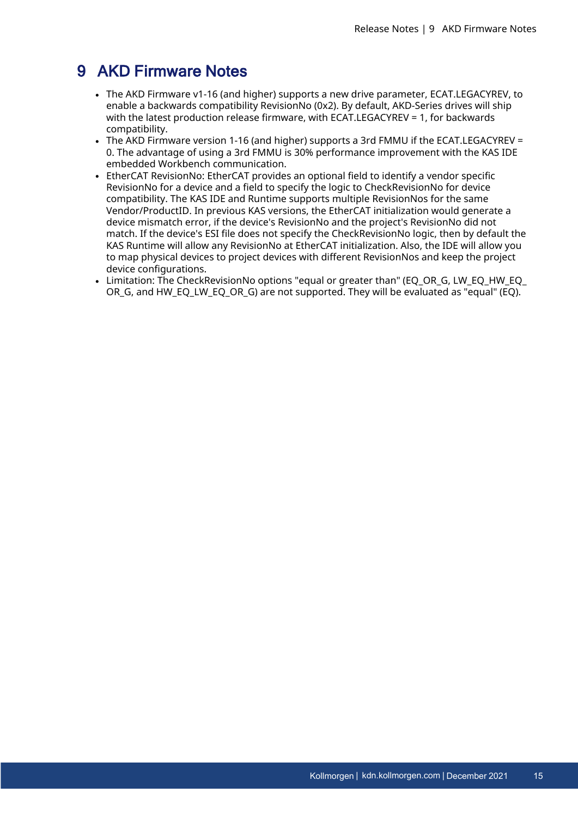## <span id="page-14-0"></span>9 AKD Firmware Notes

- <sup>l</sup> The AKD Firmware v1-16 (and higher) supports a new drive parameter, ECAT.LEGACYREV, to enable a backwards compatibility RevisionNo (0x2). By default, AKD-Series drives will ship with the latest production release firmware, with ECAT.LEGACYREV = 1, for backwards compatibility.
- The AKD Firmware version 1-16 (and higher) supports a 3rd FMMU if the ECAT.LEGACYREV = 0. The advantage of using a 3rd FMMU is 30% performance improvement with the KAS IDE embedded Workbench communication.
- EtherCAT RevisionNo: EtherCAT provides an optional field to identify a vendor specific RevisionNo for a device and a field to specify the logic to CheckRevisionNo for device compatibility. The KAS IDE and Runtime supports multiple RevisionNos for the same Vendor/ProductID. In previous KAS versions, the EtherCAT initialization would generate a device mismatch error, if the device's RevisionNo and the project's RevisionNo did not match. If the device's ESI file does not specify the CheckRevisionNo logic, then by default the KAS Runtime will allow any RevisionNo at EtherCAT initialization. Also, the IDE will allow you to map physical devices to project devices with different RevisionNos and keep the project device configurations.
- Limitation: The CheckRevisionNo options "equal or greater than" (EQ\_OR\_G, LW\_EQ\_HW\_EQ\_ OR G, and HW\_EQ\_LW\_EQ\_OR\_G) are not supported. They will be evaluated as "equal" (EQ).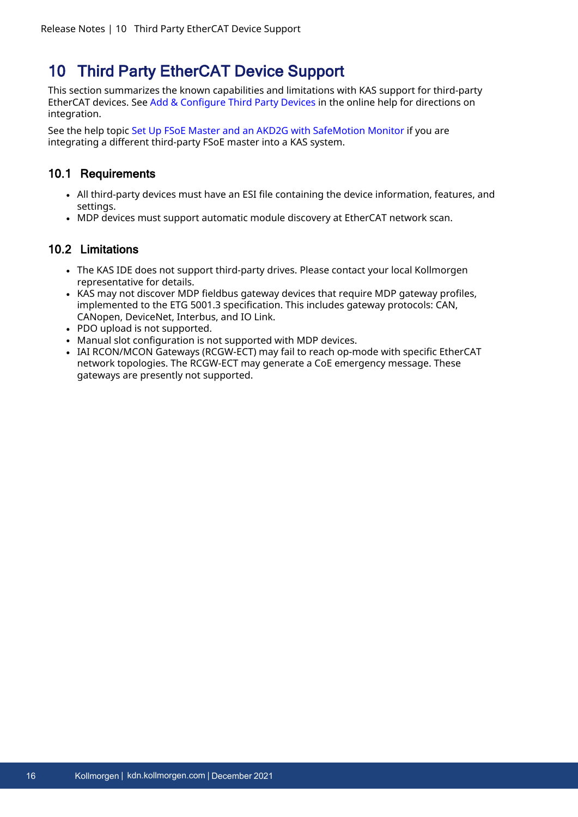## <span id="page-15-0"></span>10 Third Party EtherCAT Device Support

This section summarizes the known capabilities and limitations with KAS support for third-party EtherCAT devices. See Add [& Configure](http://webhelp.kollmorgen.com/kas3.05/Content/4.UsingKASIDE/ECAT_3rdParty.htm) Third Party Devices in the online help for directions on integration.

See the help topic Set Up FSoE Master and an AKD2G with [SafeMotion](http://webhelp.kollmorgen.com/kas3.05/Content/8.AdvancedTopics/Setup_FSoE_PDO_SCU_AKD2G.htm) Monitor if you are integrating a different third-party FSoE master into a KAS system.

### <span id="page-15-1"></span>10.1 Requirements

- All third-party devices must have an ESI file containing the device information, features, and settings.
- MDP devices must support automatic module discovery at EtherCAT network scan.

### <span id="page-15-2"></span>10.2 Limitations

- The KAS IDE does not support third-party drives. Please contact your local Kollmorgen representative for details.
- KAS may not discover MDP fieldbus gateway devices that require MDP gateway profiles, implemented to the ETG 5001.3 specification. This includes gateway protocols: CAN, CANopen, DeviceNet, Interbus, and IO Link.
- PDO upload is not supported.
- Manual slot configuration is not supported with MDP devices.
- <sup>l</sup> IAI RCON/MCON Gateways (RCGW-ECT) may fail to reach op-mode with specific EtherCAT network topologies. The RCGW-ECT may generate a CoE emergency message. These gateways are presently not supported.